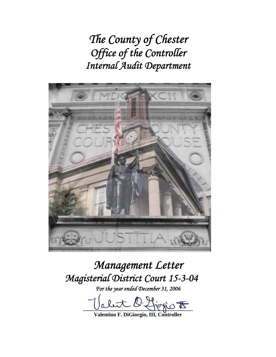*The County of Chester Office of the Controller Internal Audit Department* 



# *Management Letter Magisterial District Court 15-3-04*

*For the year ended December 31, 2006* 

fiogio <del>to</del>

**Valentino F. DiGiorgio, III, Controller**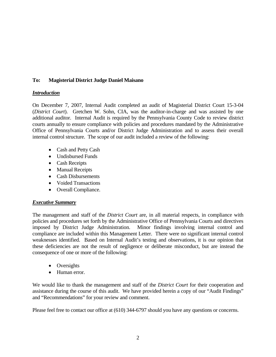# **To: Magisterial District Judge Daniel Maisano**

### *Introduction*

On December 7, 2007, Internal Audit completed an audit of Magisterial District Court 15-3-04 (*District Court*). Gretchen W. Sohn, CIA, was the auditor-in-charge and was assisted by one additional auditor. Internal Audit is required by the Pennsylvania County Code to review district courts annually to ensure compliance with policies and procedures mandated by the Administrative Office of Pennsylvania Courts and/or District Judge Administration and to assess their overall internal control structure. The scope of our audit included a review of the following:

- Cash and Petty Cash
- Undisbursed Funds
- Cash Receipts
- Manual Receipts
- Cash Disbursements
- Voided Transactions
- Overall Compliance.

# *Executive Summary*

The management and staff of the *District Court* are, in all material respects, in compliance with policies and procedures set forth by the Administrative Office of Pennsylvania Courts and directives imposed by District Judge Administration. Minor findings involving internal control and compliance are included within this Management Letter. There were no significant internal control weaknesses identified. Based on Internal Audit's testing and observations, it is our opinion that these deficiencies are not the result of negligence or deliberate misconduct, but are instead the consequence of one or more of the following:

- Oversights
- Human error.

We would like to thank the management and staff of the *District Court* for their cooperation and assistance during the course of this audit. We have provided herein a copy of our "Audit Findings" and "Recommendations" for your review and comment.

Please feel free to contact our office at (610) 344-6797 should you have any questions or concerns.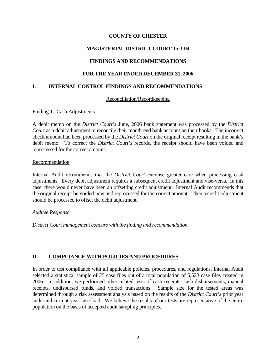# **COUNTY OF CHESTER**

# **MAGISTERIAL DISTRICT COURT 15-3-04**

# **FINDINGS AND RECOMMENDATIONS**

# **FOR THE YEAR ENDED DECEMBER 31, 2006**

## **I. INTERNAL CONTROL FINDINGS AND RECOMMENDATIONS**

### Reconciliation/Recordkeeping

### Finding 1: Cash Adjustments

A debit memo on the *District Court's* June, 2006 bank statement was processed by the *District Court* as a debit adjustment to reconcile their month-end bank account on their books. The incorrect check amount had been processed by the *District Court* on the original receipt resulting in the bank's debit memo. To correct the *District Court's* records, the receipt should have been voided and reprocessed for the correct amount.

#### Recommendation

Internal Audit recommends that the *District Court* exercise greater care when processing cash adjustments. Every debit adjustment requires a subsequent credit adjustment and vise-versa. In this case, there would never have been an offsetting credit adjustment. Internal Audit recommends that the original receipt be voided now and reprocessed for the correct amount. Then a credit adjustment should be processed to offset the debit adjustment.

### *Auditee Response*

*District Court management concurs with the finding and recommendation.* 

# **II. COMPLIANCE WITH POLICIES AND PROCEDURES**

In order to test compliance with all applicable policies, procedures, and regulations, Internal Audit selected a statistical sample of 25 case files out of a total population of 5,523 case files created in 2006. In addition, we performed other related tests of cash receipts, cash disbursements, manual receipts, undisbursed funds, and voided transactions. Sample size for the tested areas was determined through a risk assessment analysis based on the results of the *District Court's* prior year audit and current year case load. We believe the results of our tests are representative of the entire population on the basis of accepted audit sampling principles.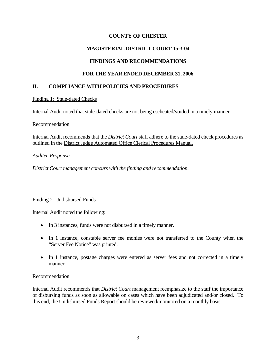# **COUNTY OF CHESTER**

# **MAGISTERIAL DISTRICT COURT 15-3-04**

# **FINDINGS AND RECOMMENDATIONS**

# **FOR THE YEAR ENDED DECEMBER 31, 2006**

# **II. COMPLIANCE WITH POLICIES AND PROCEDURES**

### Finding 1: Stale-dated Checks

Internal Audit noted that stale-dated checks are not being escheated/voided in a timely manner.

### Recommendation

Internal Audit recommends that the *District Court* staff adhere to the stale-dated check procedures as outlined in the District Judge Automated Office Clerical Procedures Manual.

### *Auditee Response*

*District Court management concurs with the finding and recommendation.* 

### Finding 2 Undisbursed Funds

Internal Audit noted the following:

- In 3 instances, funds were not disbursed in a timely manner.
- In 1 instance, constable server fee monies were not transferred to the County when the "Server Fee Notice" was printed.
- In 1 instance, postage charges were entered as server fees and not corrected in a timely manner.

### Recommendation

Internal Audit recommends that *District Court* management reemphasize to the staff the importance of disbursing funds as soon as allowable on cases which have been adjudicated and/or closed. To this end, the Undisbursed Funds Report should be reviewed/monitored on a monthly basis.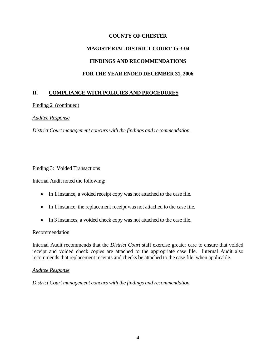# **COUNTY OF CHESTER MAGISTERIAL DISTRICT COURT 15-3-04 FINDINGS AND RECOMMENDATIONS FOR THE YEAR ENDED DECEMBER 31, 2006**

# **II. COMPLIANCE WITH POLICIES AND PROCEDURES**

Finding 2 (continued)

#### *Auditee Response*

*District Court management concurs with the findings and recommendation*.

#### Finding 3: Voided Transactions

Internal Audit noted the following:

- In 1 instance, a voided receipt copy was not attached to the case file.
- In 1 instance, the replacement receipt was not attached to the case file.
- In 3 instances, a voided check copy was not attached to the case file.

#### Recommendation

Internal Audit recommends that the *District Court* staff exercise greater care to ensure that voided receipt and voided check copies are attached to the appropriate case file. Internal Audit also recommends that replacement receipts and checks be attached to the case file, when applicable.

#### *Auditee Response*

*District Court management concurs with the findings and recommendation.*